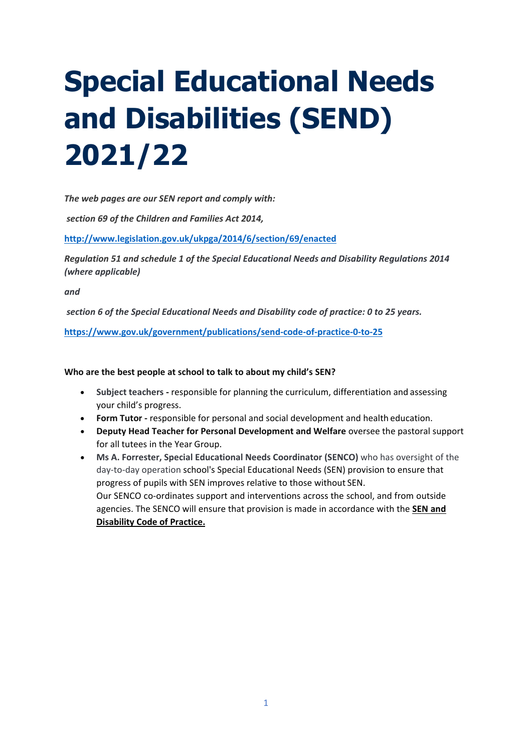# **Special Educational Needs and Disabilities (SEND) 2021/22**

*The web pages are our SEN report and comply with:* 

*section 69 of the Children and Families Act 2014,*

**<http://www.legislation.gov.uk/ukpga/2014/6/section/69/enacted>**

*Regulation 51 and schedule 1 of the Special Educational Needs and Disability Regulations 2014 (where applicable)*

*and*

*section 6 of the Special Educational Needs and Disability code of practice: 0 to 25 years.*

**<https://www.gov.uk/government/publications/send-code-of-practice-0-to-25>**

### **Who are the best people at school to talk to about my child's SEN?**

- **Subject teachers -** responsible for planning the curriculum, differentiation and assessing your child's progress.
- **Form Tutor -** responsible for personal and social development and health education.
- **Deputy Head Teacher for Personal Development and Welfare** oversee the pastoral support for all tutees in the Year Group.
- **Ms A. Forrester, Special Educational Needs Coordinator (SENCO)** who has oversight of the day-to-day operation school's Special Educational Needs (SEN) provision to ensure that progress of pupils with SEN improves relative to those without SEN. Our SENCO co-ordinates support and interventions across the school, and from outside agencies. The SENCO will ensure that provision is made in accordance with the **SEN and Disability Code of Practice.**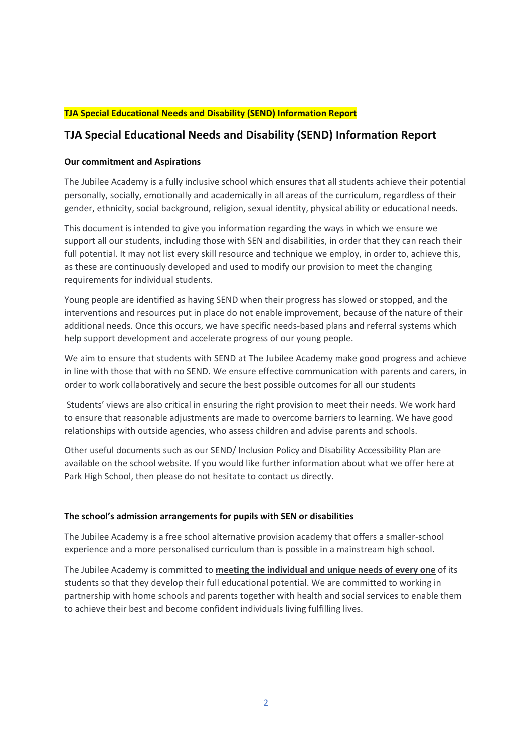# **TJA Special Educational Needs and Disability (SEND) Information Report**

# **TJA Special Educational Needs and Disability (SEND) Information Report**

### **Our commitment and Aspirations**

The Jubilee Academy is a fully inclusive school which ensures that all students achieve their potential personally, socially, emotionally and academically in all areas of the curriculum, regardless of their gender, ethnicity, social background, religion, sexual identity, physical ability or educational needs.

This document is intended to give you information regarding the ways in which we ensure we support all our students, including those with SEN and disabilities, in order that they can reach their full potential. It may not list every skill resource and technique we employ, in order to, achieve this, as these are continuously developed and used to modify our provision to meet the changing requirements for individual students.

Young people are identified as having SEND when their progress has slowed or stopped, and the interventions and resources put in place do not enable improvement, because of the nature of their additional needs. Once this occurs, we have specific needs-based plans and referral systems which help support development and accelerate progress of our young people.

We aim to ensure that students with SEND at The Jubilee Academy make good progress and achieve in line with those that with no SEND. We ensure effective communication with parents and carers, in order to work collaboratively and secure the best possible outcomes for all our students

Students' views are also critical in ensuring the right provision to meet their needs. We work hard to ensure that reasonable adjustments are made to overcome barriers to learning. We have good relationships with outside agencies, who assess children and advise parents and schools.

Other useful documents such as our SEND/ Inclusion Policy and Disability Accessibility Plan are available on the school website. If you would like further information about what we offer here at Park High School, then please do not hesitate to contact us directly.

#### **The school's admission arrangements for pupils with SEN or disabilities**

The Jubilee Academy is a free school alternative provision academy that offers a smaller-school experience and a more personalised curriculum than is possible in a mainstream high school.

The Jubilee Academy is committed to **meeting the individual and unique needs of every one** of its students so that they develop their full educational potential. We are committed to working in partnership with home schools and parents together with health and social services to enable them to achieve their best and become confident individuals living fulfilling lives.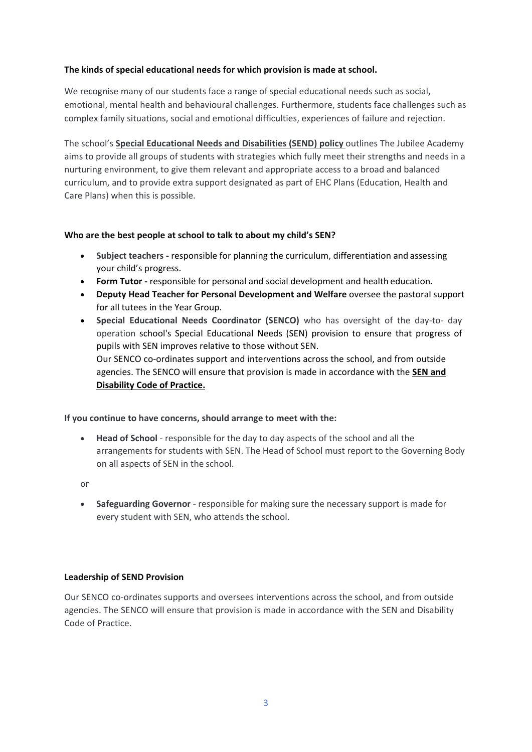# **The kinds of special educational needs for which provision is made at school.**

We recognise many of our students face a range of special educational needs such as social, emotional, mental health and behavioural challenges. Furthermore, students face challenges such as complex family situations, social and emotional difficulties, experiences of failure and rejection.

The school's **Special Educational Needs and Disabilities (SEND) policy** outlines The Jubilee Academy aims to provide all groups of students with strategies which fully meet their strengths and needs in a nurturing environment, to give them relevant and appropriate access to a broad and balanced curriculum, and to provide extra support designated as part of EHC Plans (Education, Health and Care Plans) when this is possible.

### **Who are the best people at school to talk to about my child's SEN?**

- **Subject teachers -** responsible for planning the curriculum, differentiation and assessing your child's progress.
- **Form Tutor -** responsible for personal and social development and health education.
- **Deputy Head Teacher for Personal Development and Welfare** oversee the pastoral support for all tutees in the Year Group.
- **Special Educational Needs Coordinator (SENCO)** who has oversight of the day-to- day operation school's Special Educational Needs (SEN) provision to ensure that progress of pupils with SEN improves relative to those without SEN. Our SENCO co-ordinates support and interventions across the school, and from outside agencies. The SENCO will ensure that provision is made in accordance with the **SEN and Disability Code of Practice.**

### **If you continue to have concerns, should arrange to meet with the:**

• **Head of School** - responsible for the day to day aspects of the school and all the arrangements for students with SEN. The Head of School must report to the Governing Body on all aspects of SEN in the school.

or

• **Safeguarding Governor** - responsible for making sure the necessary support is made for every student with SEN, who attends the school.

### **Leadership of SEND Provision**

Our SENCO co-ordinates supports and oversees interventions across the school, and from outside agencies. The SENCO will ensure that provision is made in accordance with the SEN and Disability Code of Practice.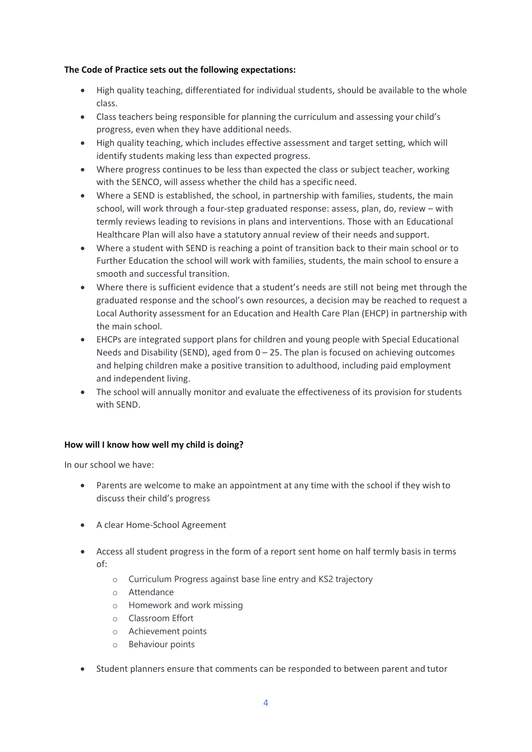### **The Code of Practice sets out the following expectations:**

- High quality teaching, differentiated for individual students, should be available to the whole class.
- Class teachers being responsible for planning the curriculum and assessing your child's progress, even when they have additional needs.
- High quality teaching, which includes effective assessment and target setting, which will identify students making less than expected progress.
- Where progress continues to be less than expected the class or subject teacher, working with the SENCO, will assess whether the child has a specific need.
- Where a SEND is established, the school, in partnership with families, students, the main school, will work through a four-step graduated response: assess, plan, do, review – with termly reviews leading to revisions in plans and interventions. Those with an Educational Healthcare Plan will also have a statutory annual review of their needs and support.
- Where a student with SEND is reaching a point of transition back to their main school or to Further Education the school will work with families, students, the main school to ensure a smooth and successful transition.
- Where there is sufficient evidence that a student's needs are still not being met through the graduated response and the school's own resources, a decision may be reached to request a Local Authority assessment for an Education and Health Care Plan (EHCP) in partnership with the main school.
- EHCPs are integrated support plans for children and young people with Special Educational Needs and Disability (SEND), aged from  $0 - 25$ . The plan is focused on achieving outcomes and helping children make a positive transition to adulthood, including paid employment and independent living.
- The school will annually monitor and evaluate the effectiveness of its provision for students with SEND.

# **How will I know how well my child is doing?**

In our school we have:

- Parents are welcome to make an appointment at any time with the school if they wish to discuss their child's progress
- A clear Home-School Agreement
- Access all student progress in the form of a report sent home on half termly basis in terms of:
	- o Curriculum Progress against base line entry and KS2 trajectory
	- o Attendance
	- o Homework and work missing
	- o Classroom Effort
	- o Achievement points
	- o Behaviour points
- Student planners ensure that comments can be responded to between parent and tutor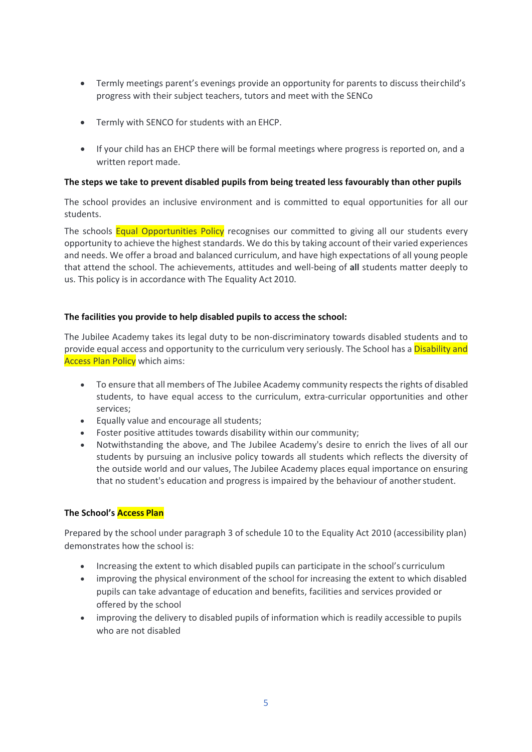- Termly meetings parent's evenings provide an opportunity for parents to discuss theirchild's progress with their subject teachers, tutors and meet with the SENCo
- Termly with SENCO for students with an EHCP.
- If your child has an EHCP there will be formal meetings where progress is reported on, and a written report made.

### **The steps we take to prevent disabled pupils from being treated less favourably than other pupils**

The school provides an inclusive environment and is committed to equal opportunities for all our students.

The schools **Equal Opportunities Policy** recognises our committed to giving all our students every opportunity to achieve the highest standards. We do this by taking account of their varied experiences and needs. We offer a broad and balanced curriculum, and have high expectations of all young people that attend the school. The achievements, attitudes and well-being of **all** students matter deeply to us. This policy is in accordance with The Equality Act 2010.

# **The facilities you provide to help disabled pupils to access the school:**

The Jubilee Academy takes its legal duty to be non-discriminatory towards disabled students and to provide equal access and opportunity to the curriculum very seriously. The School has a Disability and Access Plan Policy which aims:

- To ensure that all members of The Jubilee Academy community respects the rights of disabled students, to have equal access to the curriculum, extra-curricular opportunities and other services;
- Equally value and encourage all students;
- Foster positive attitudes towards disability within our community;
- Notwithstanding the above, and The Jubilee Academy's desire to enrich the lives of all our students by pursuing an inclusive policy towards all students which reflects the diversity of the outside world and our values, The Jubilee Academy places equal importance on ensuring that no student's education and progress is impaired by the behaviour of another student.

# **The School's Access Plan**

Prepared by the school under paragraph 3 of schedule 10 to the Equality Act 2010 (accessibility plan) demonstrates how the school is:

- Increasing the extent to which disabled pupils can participate in the school's curriculum
- improving the physical environment of the school for increasing the extent to which disabled pupils can take advantage of education and benefits, facilities and services provided or offered by the school
- improving the delivery to disabled pupils of information which is readily accessible to pupils who are not disabled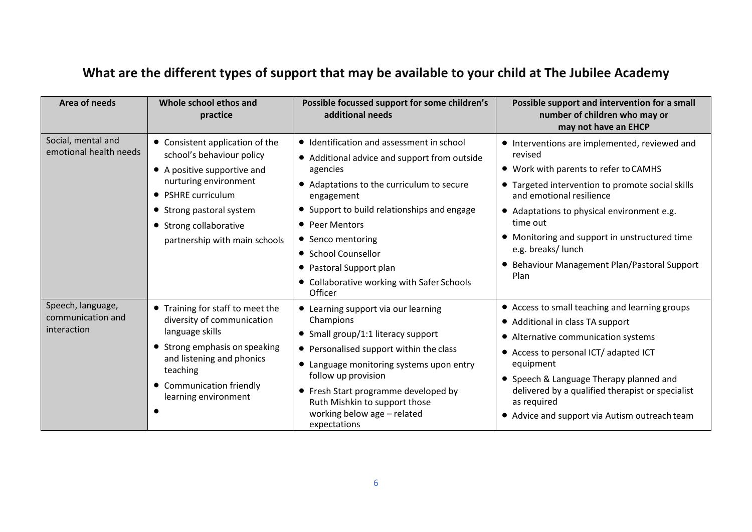# **What are the different types of support that may be available to your child at The Jubilee Academy**

| Area of needs                                         | Whole school ethos and<br>practice                                                                                                                                                                                                | Possible focussed support for some children's<br>additional needs                                                                                                                                                                                                                                                                                                 | Possible support and intervention for a small<br>number of children who may or<br>may not have an EHCP                                                                                                                                                                                                                                                                   |
|-------------------------------------------------------|-----------------------------------------------------------------------------------------------------------------------------------------------------------------------------------------------------------------------------------|-------------------------------------------------------------------------------------------------------------------------------------------------------------------------------------------------------------------------------------------------------------------------------------------------------------------------------------------------------------------|--------------------------------------------------------------------------------------------------------------------------------------------------------------------------------------------------------------------------------------------------------------------------------------------------------------------------------------------------------------------------|
| Social, mental and<br>emotional health needs          | • Consistent application of the<br>school's behaviour policy<br>• A positive supportive and<br>nurturing environment<br>• PSHRE curriculum<br>• Strong pastoral system<br>• Strong collaborative<br>partnership with main schools | • Identification and assessment in school<br>• Additional advice and support from outside<br>agencies<br>• Adaptations to the curriculum to secure<br>engagement<br>• Support to build relationships and engage<br>• Peer Mentors<br>• Senco mentoring<br>• School Counsellor<br>• Pastoral Support plan<br>• Collaborative working with Safer Schools<br>Officer | • Interventions are implemented, reviewed and<br>revised<br>• Work with parents to refer to CAMHS<br>• Targeted intervention to promote social skills<br>and emotional resilience<br>• Adaptations to physical environment e.g.<br>time out<br>• Monitoring and support in unstructured time<br>e.g. breaks/ lunch<br>Behaviour Management Plan/Pastoral Support<br>Plan |
| Speech, language,<br>communication and<br>interaction | • Training for staff to meet the<br>diversity of communication<br>language skills<br>• Strong emphasis on speaking<br>and listening and phonics<br>teaching<br>• Communication friendly<br>learning environment                   | • Learning support via our learning<br>Champions<br>• Small group/1:1 literacy support<br>• Personalised support within the class<br>• Language monitoring systems upon entry<br>follow up provision<br>• Fresh Start programme developed by<br>Ruth Mishkin to support those<br>working below age - related<br>expectations                                      | • Access to small teaching and learning groups<br>• Additional in class TA support<br>• Alternative communication systems<br>• Access to personal ICT/ adapted ICT<br>equipment<br>• Speech & Language Therapy planned and<br>delivered by a qualified therapist or specialist<br>as required<br>• Advice and support via Autism outreach team                           |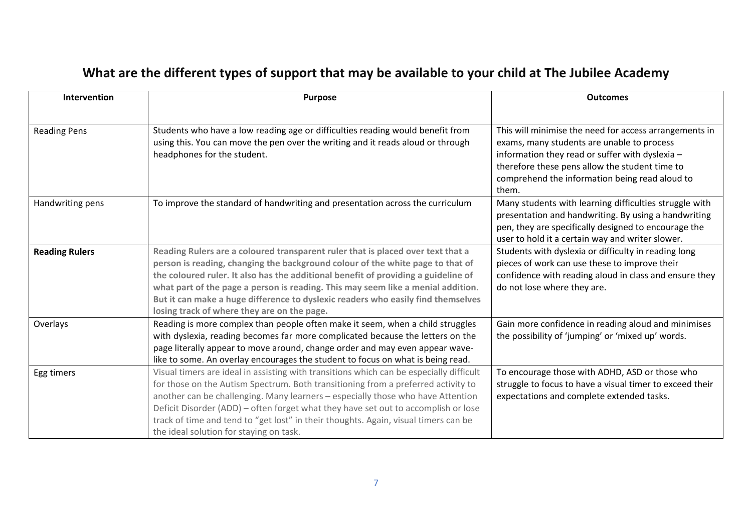# **What are the different types of support that may be available to your child at The Jubilee Academy**

| Intervention          | <b>Purpose</b>                                                                                                                                                                                                                                                                                                                                                                                                                                                                          | <b>Outcomes</b>                                                                                                                                                                                                                                                      |
|-----------------------|-----------------------------------------------------------------------------------------------------------------------------------------------------------------------------------------------------------------------------------------------------------------------------------------------------------------------------------------------------------------------------------------------------------------------------------------------------------------------------------------|----------------------------------------------------------------------------------------------------------------------------------------------------------------------------------------------------------------------------------------------------------------------|
| <b>Reading Pens</b>   | Students who have a low reading age or difficulties reading would benefit from<br>using this. You can move the pen over the writing and it reads aloud or through<br>headphones for the student.                                                                                                                                                                                                                                                                                        | This will minimise the need for access arrangements in<br>exams, many students are unable to process<br>information they read or suffer with dyslexia -<br>therefore these pens allow the student time to<br>comprehend the information being read aloud to<br>them. |
| Handwriting pens      | To improve the standard of handwriting and presentation across the curriculum                                                                                                                                                                                                                                                                                                                                                                                                           | Many students with learning difficulties struggle with<br>presentation and handwriting. By using a handwriting<br>pen, they are specifically designed to encourage the<br>user to hold it a certain way and writer slower.                                           |
| <b>Reading Rulers</b> | Reading Rulers are a coloured transparent ruler that is placed over text that a<br>person is reading, changing the background colour of the white page to that of<br>the coloured ruler. It also has the additional benefit of providing a guideline of<br>what part of the page a person is reading. This may seem like a menial addition.<br>But it can make a huge difference to dyslexic readers who easily find themselves<br>losing track of where they are on the page.          | Students with dyslexia or difficulty in reading long<br>pieces of work can use these to improve their<br>confidence with reading aloud in class and ensure they<br>do not lose where they are.                                                                       |
| Overlays              | Reading is more complex than people often make it seem, when a child struggles<br>with dyslexia, reading becomes far more complicated because the letters on the<br>page literally appear to move around, change order and may even appear wave-<br>like to some. An overlay encourages the student to focus on what is being read.                                                                                                                                                     | Gain more confidence in reading aloud and minimises<br>the possibility of 'jumping' or 'mixed up' words.                                                                                                                                                             |
| Egg timers            | Visual timers are ideal in assisting with transitions which can be especially difficult<br>for those on the Autism Spectrum. Both transitioning from a preferred activity to<br>another can be challenging. Many learners - especially those who have Attention<br>Deficit Disorder (ADD) - often forget what they have set out to accomplish or lose<br>track of time and tend to "get lost" in their thoughts. Again, visual timers can be<br>the ideal solution for staying on task. | To encourage those with ADHD, ASD or those who<br>struggle to focus to have a visual timer to exceed their<br>expectations and complete extended tasks.                                                                                                              |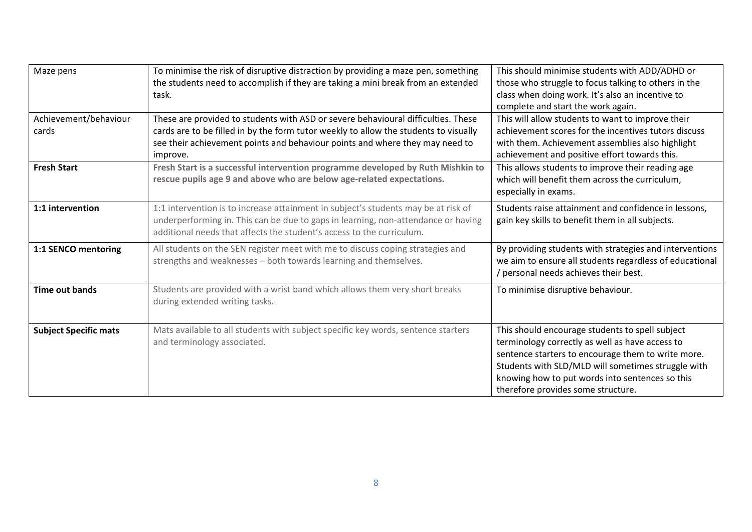| Maze pens                      | To minimise the risk of disruptive distraction by providing a maze pen, something<br>the students need to accomplish if they are taking a mini break from an extended<br>task.                                                                                        | This should minimise students with ADD/ADHD or<br>those who struggle to focus talking to others in the<br>class when doing work. It's also an incentive to<br>complete and start the work again.                                                                                                        |
|--------------------------------|-----------------------------------------------------------------------------------------------------------------------------------------------------------------------------------------------------------------------------------------------------------------------|---------------------------------------------------------------------------------------------------------------------------------------------------------------------------------------------------------------------------------------------------------------------------------------------------------|
| Achievement/behaviour<br>cards | These are provided to students with ASD or severe behavioural difficulties. These<br>cards are to be filled in by the form tutor weekly to allow the students to visually<br>see their achievement points and behaviour points and where they may need to<br>improve. | This will allow students to want to improve their<br>achievement scores for the incentives tutors discuss<br>with them. Achievement assemblies also highlight<br>achievement and positive effort towards this.                                                                                          |
| <b>Fresh Start</b>             | Fresh Start is a successful intervention programme developed by Ruth Mishkin to<br>rescue pupils age 9 and above who are below age-related expectations.                                                                                                              | This allows students to improve their reading age<br>which will benefit them across the curriculum,<br>especially in exams.                                                                                                                                                                             |
| 1:1 intervention               | 1:1 intervention is to increase attainment in subject's students may be at risk of<br>underperforming in. This can be due to gaps in learning, non-attendance or having<br>additional needs that affects the student's access to the curriculum.                      | Students raise attainment and confidence in lessons,<br>gain key skills to benefit them in all subjects.                                                                                                                                                                                                |
| 1:1 SENCO mentoring            | All students on the SEN register meet with me to discuss coping strategies and<br>strengths and weaknesses - both towards learning and themselves.                                                                                                                    | By providing students with strategies and interventions<br>we aim to ensure all students regardless of educational<br>/ personal needs achieves their best.                                                                                                                                             |
| <b>Time out bands</b>          | Students are provided with a wrist band which allows them very short breaks<br>during extended writing tasks.                                                                                                                                                         | To minimise disruptive behaviour.                                                                                                                                                                                                                                                                       |
| <b>Subject Specific mats</b>   | Mats available to all students with subject specific key words, sentence starters<br>and terminology associated.                                                                                                                                                      | This should encourage students to spell subject<br>terminology correctly as well as have access to<br>sentence starters to encourage them to write more.<br>Students with SLD/MLD will sometimes struggle with<br>knowing how to put words into sentences so this<br>therefore provides some structure. |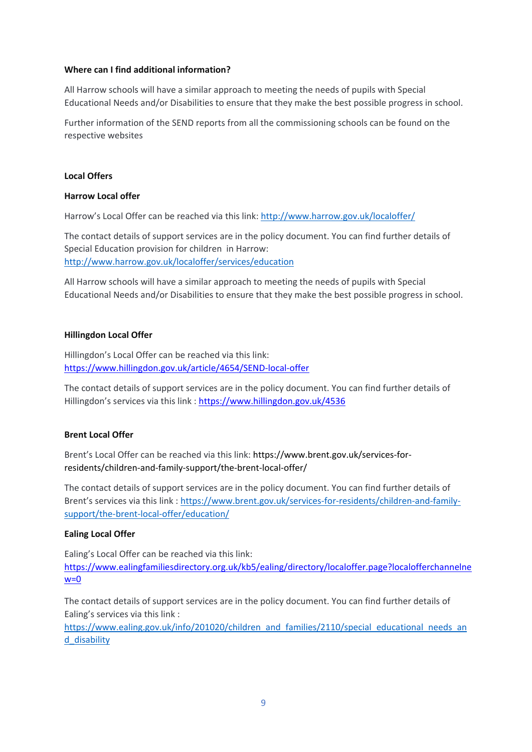### **Where can I find additional information?**

All Harrow schools will have a similar approach to meeting the needs of pupils with Special Educational Needs and/or Disabilities to ensure that they make the best possible progress in school.

Further information of the SEND reports from all the commissioning schools can be found on the respective websites

### **Local Offers**

### **Harrow Local offer**

Harrow's Local Offer can be reached via this link:<http://www.harrow.gov.uk/localoffer/>

The contact details of support services are in the policy document. You can find further details of Special Education provision for children in Harrow: <http://www.harrow.gov.uk/localoffer/services/education>

All Harrow schools will have a similar approach to meeting the needs of pupils with Special Educational Needs and/or Disabilities to ensure that they make the best possible progress in school.

### **Hillingdon Local Offer**

Hillingdon's Local Offer can be reached via this link: <https://www.hillingdon.gov.uk/article/4654/SEND-local-offer>

The contact details of support services are in the policy document. You can find further details of Hillingdon's services via this link [: https://www.hillingdon.gov.uk/4536](https://www.hillingdon.gov.uk/4536)

### **Brent Local Offer**

Brent's Local Offer can be reached via this link: https://www.brent.gov.uk/services-forresidents/children-and-family-support/the-brent-local-offer/

The contact details of support services are in the policy document. You can find further details of Brent's services via this link : [https://www.brent.gov.uk/services-for-residents/children-and-family](https://www.brent.gov.uk/services-for-residents/children-and-family-support/the-brent-local-offer/education/)[support/the-brent-local-offer/education/](https://www.brent.gov.uk/services-for-residents/children-and-family-support/the-brent-local-offer/education/)

### **Ealing Local Offer**

Ealing's Local Offer can be reached via this link: [https://www.ealingfamiliesdirectory.org.uk/kb5/ealing/directory/localoffer.page?localofferchannelne](https://www.ealingfamiliesdirectory.org.uk/kb5/ealing/directory/localoffer.page?localofferchannelnew=0)  $w=0$ 

The contact details of support services are in the policy document. You can find further details of Ealing's services via this link :

[https://www.ealing.gov.uk/info/201020/children\\_and\\_families/2110/special\\_educational\\_needs\\_an](https://www.ealing.gov.uk/info/201020/children_and_families/2110/special_educational_needs_and_disability) [d\\_disability](https://www.ealing.gov.uk/info/201020/children_and_families/2110/special_educational_needs_and_disability)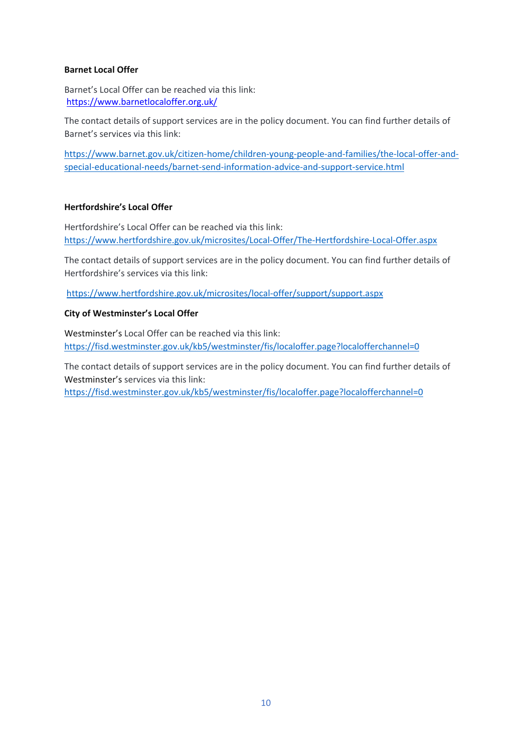### **Barnet Local Offer**

Barnet's Local Offer can be reached via this link: <https://www.barnetlocaloffer.org.uk/>

The contact details of support services are in the policy document. You can find further details of Barnet's services via this link:

[https://www.barnet.gov.uk/citizen-home/children-young-people-and-families/the-local-offer-and](https://www.barnet.gov.uk/citizen-home/children-young-people-and-families/the-local-offer-and-special-educational-needs/barnet-send-information-advice-and-support-service.html)[special-educational-needs/barnet-send-information-advice-and-support-service.html](https://www.barnet.gov.uk/citizen-home/children-young-people-and-families/the-local-offer-and-special-educational-needs/barnet-send-information-advice-and-support-service.html)

### **Hertfordshire's Local Offer**

Hertfordshire's Local Offer can be reached via this link: https:/[/www.hertfordshire.gov.uk/microsites/Local-Offer/The-Hertfordshire-Local-Offer.aspx](http://www.hertfordshire.gov.uk/microsites/Local-Offer/The-Hertfordshire-Local-Offer.aspx)

The contact details of support services are in the policy document. You can find further details of Hertfordshire's services via this link:

https:/[/www.hertfordshire.gov.uk/microsites/local-offer/support/support.aspx](http://www.hertfordshire.gov.uk/microsites/local-offer/support/support.aspx)

#### **City of Westminster's Local Offer**

Westminster's Local Offer can be reached via this link: https://fisd.westminster.gov.uk/kb5/westminster/fis/localoffer.page?localofferchannel=0

The contact details of support services are in the policy document. You can find further details of Westminster's services via this link:

https://fisd.westminster.gov.uk/kb5/westminster/fis/localoffer.page?localofferchannel=0